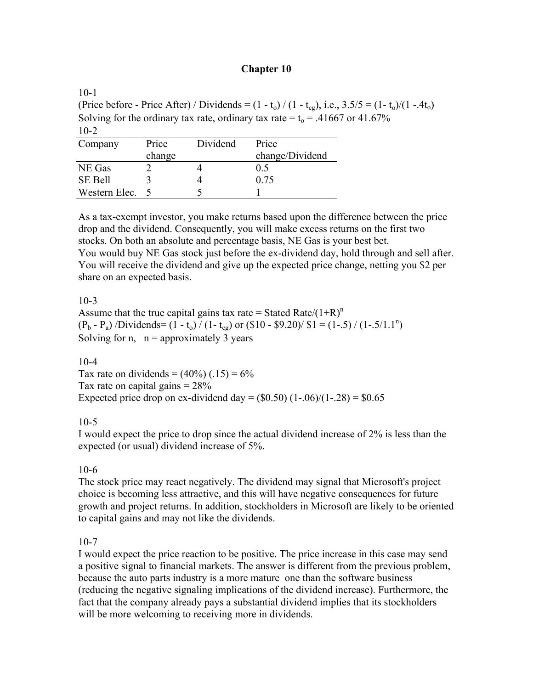## **Chapter 10**

 $10-1$ (Price before - Price After) / Dividends =  $(1 - t_0) / (1 - t_{cg})$ , i.e.,  $3.5/5 = (1 - t_0) / (1 - .4t_0)$ Solving for the ordinary tax rate, ordinary tax rate =  $t_0$  = .41667 or 41.67%  $10-2$ 

| Company        | Price  | Dividend | Price           |
|----------------|--------|----------|-----------------|
|                | change |          | change/Dividend |
| NE Gas         |        |          | 0.5             |
| <b>SE Bell</b> |        |          | 0.75            |
| Western Elec.  |        |          |                 |

As a tax-exempt investor, you make returns based upon the difference between the price drop and the dividend. Consequently, you will make excess returns on the first two stocks. On both an absolute and percentage basis, NE Gas is your best bet. You would buy NE Gas stock just before the ex-dividend day, hold through and sell after. You will receive the dividend and give up the expected price change, netting you \$2 per share on an expected basis.

## 10-3

Assume that the true capital gains tax rate = Stated Rate/ $(1+R)^n$  $(P_b - P_a)$  /Dividends=  $(1 - t_o)$  /  $(1 - t_{cg})$  or  $(\$10 - \$9.20)$ /  $\$1 = (1 - .5)$  /  $(1 - .5/1.1^n)$ Solving for n,  $n =$  approximately 3 years

## $10 - 4$

Tax rate on dividends =  $(40\%)$  (.15) =  $6\%$ Tax rate on capital gains  $= 28\%$ Expected price drop on ex-dividend day =  $(\$0.50)$   $(1-.06)/(1-.28) = \$0.65$ 

# 10-5

I would expect the price to drop since the actual dividend increase of 2% is less than the expected (or usual) dividend increase of 5%.

## 10-6

The stock price may react negatively. The dividend may signal that Microsoft's project choice is becoming less attractive, and this will have negative consequences for future growth and project returns. In addition, stockholders in Microsoft are likely to be oriented to capital gains and may not like the dividends.

# 10-7

I would expect the price reaction to be positive. The price increase in this case may send a positive signal to financial markets. The answer is different from the previous problem, because the auto parts industry is a more mature one than the software business (reducing the negative signaling implications of the dividend increase). Furthermore, the fact that the company already pays a substantial dividend implies that its stockholders will be more welcoming to receiving more in dividends.